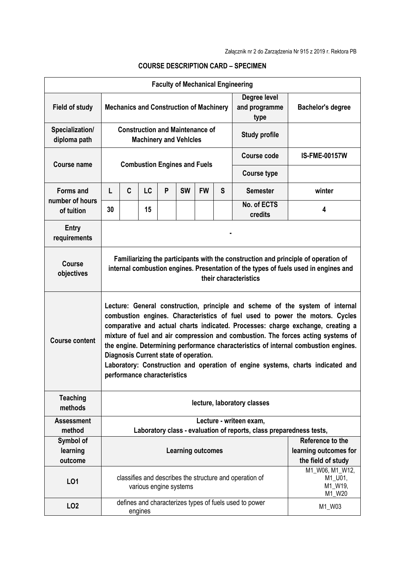|                                     |                                                                                                                                                                                                                                                                                                                                                                                                                                                                                                                                                                                       |   |                        |   |                                     |           |                          | <b>Faculty of Mechanical Engineering</b>                                                                   |                                             |  |
|-------------------------------------|---------------------------------------------------------------------------------------------------------------------------------------------------------------------------------------------------------------------------------------------------------------------------------------------------------------------------------------------------------------------------------------------------------------------------------------------------------------------------------------------------------------------------------------------------------------------------------------|---|------------------------|---|-------------------------------------|-----------|--------------------------|------------------------------------------------------------------------------------------------------------|---------------------------------------------|--|
| <b>Field of study</b>               | Degree level<br><b>Mechanics and Construction of Machinery</b><br>and programme<br>type                                                                                                                                                                                                                                                                                                                                                                                                                                                                                               |   |                        |   |                                     |           | <b>Bachelor's degree</b> |                                                                                                            |                                             |  |
| Specialization/<br>diploma path     | <b>Construction and Maintenance of</b><br><b>Study profile</b><br><b>Machinery and Vehicles</b>                                                                                                                                                                                                                                                                                                                                                                                                                                                                                       |   |                        |   |                                     |           |                          |                                                                                                            |                                             |  |
| <b>Course name</b>                  |                                                                                                                                                                                                                                                                                                                                                                                                                                                                                                                                                                                       |   |                        |   | <b>Combustion Engines and Fuels</b> |           |                          | <b>Course code</b>                                                                                         | <b>IS-FME-00157W</b>                        |  |
|                                     |                                                                                                                                                                                                                                                                                                                                                                                                                                                                                                                                                                                       |   |                        |   |                                     |           |                          | <b>Course type</b>                                                                                         |                                             |  |
| <b>Forms and</b><br>number of hours | L                                                                                                                                                                                                                                                                                                                                                                                                                                                                                                                                                                                     | C | LC                     | P | <b>SW</b>                           | <b>FW</b> | S                        | <b>Semester</b>                                                                                            | winter                                      |  |
| of tuition                          | 30                                                                                                                                                                                                                                                                                                                                                                                                                                                                                                                                                                                    |   | 15                     |   |                                     |           |                          | No. of ECTS<br>credits                                                                                     | 4                                           |  |
| Entry<br>requirements               |                                                                                                                                                                                                                                                                                                                                                                                                                                                                                                                                                                                       |   |                        |   |                                     |           |                          |                                                                                                            |                                             |  |
| <b>Course</b><br>objectives         | Familiarizing the participants with the construction and principle of operation of<br>internal combustion engines. Presentation of the types of fuels used in engines and<br>their characteristics                                                                                                                                                                                                                                                                                                                                                                                    |   |                        |   |                                     |           |                          |                                                                                                            |                                             |  |
| <b>Course content</b>               | Lecture: General construction, principle and scheme of the system of internal<br>combustion engines. Characteristics of fuel used to power the motors. Cycles<br>comparative and actual charts indicated. Processes: charge exchange, creating a<br>mixture of fuel and air compression and combustion. The forces acting systems of<br>the engine. Determining performance characteristics of internal combustion engines.<br>Diagnosis Current state of operation.<br>Laboratory: Construction and operation of engine systems, charts indicated and<br>performance characteristics |   |                        |   |                                     |           |                          |                                                                                                            |                                             |  |
| <b>Teaching</b><br>methods          | lecture, laboratory classes                                                                                                                                                                                                                                                                                                                                                                                                                                                                                                                                                           |   |                        |   |                                     |           |                          |                                                                                                            |                                             |  |
| <b>Assessment</b>                   |                                                                                                                                                                                                                                                                                                                                                                                                                                                                                                                                                                                       |   |                        |   |                                     |           |                          | Lecture - writeen exam,                                                                                    |                                             |  |
| method                              | Laboratory class - evaluation of reports, class preparedness tests,                                                                                                                                                                                                                                                                                                                                                                                                                                                                                                                   |   |                        |   |                                     |           |                          |                                                                                                            |                                             |  |
| Symbol of                           |                                                                                                                                                                                                                                                                                                                                                                                                                                                                                                                                                                                       |   |                        |   |                                     |           |                          |                                                                                                            | Reference to the                            |  |
| learning<br>outcome                 |                                                                                                                                                                                                                                                                                                                                                                                                                                                                                                                                                                                       |   |                        |   | <b>Learning outcomes</b>            |           |                          |                                                                                                            | learning outcomes for<br>the field of study |  |
| LO1                                 |                                                                                                                                                                                                                                                                                                                                                                                                                                                                                                                                                                                       |   | various engine systems |   |                                     |           |                          | M1_W06, M1_W12,<br>classifies and describes the structure and operation of<br>M1_U01,<br>M1_W19,<br>M1_W20 |                                             |  |
| <b>LO2</b>                          |                                                                                                                                                                                                                                                                                                                                                                                                                                                                                                                                                                                       |   | engines                |   |                                     |           |                          | defines and characterizes types of fuels used to power                                                     | M1_W03                                      |  |

## **COURSE DESCRIPTION CARD – SPECIMEN**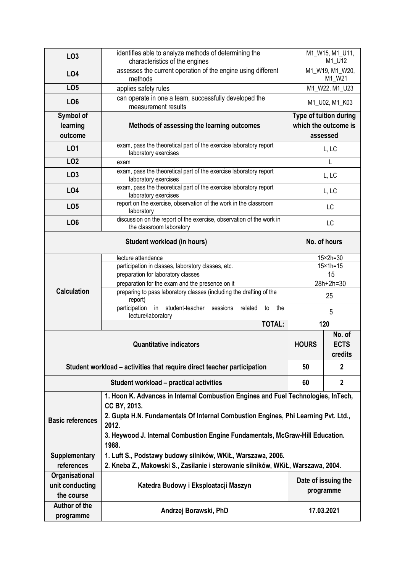| LO <sub>3</sub>                                                                                                                                                                                                                                                                                                       | identifies able to analyze methods of determining the<br>characteristics of the engines          | M1_W15, M1_U11,<br>M1_U12                                  |                                  |  |  |  |  |  |  |
|-----------------------------------------------------------------------------------------------------------------------------------------------------------------------------------------------------------------------------------------------------------------------------------------------------------------------|--------------------------------------------------------------------------------------------------|------------------------------------------------------------|----------------------------------|--|--|--|--|--|--|
| <b>LO4</b>                                                                                                                                                                                                                                                                                                            | assesses the current operation of the engine using different<br>methods                          | M1_W19, M1_W20,<br>M1_W21                                  |                                  |  |  |  |  |  |  |
| LO <sub>5</sub>                                                                                                                                                                                                                                                                                                       | applies safety rules                                                                             | M1 W22, M1 U23                                             |                                  |  |  |  |  |  |  |
| LO <sub>6</sub>                                                                                                                                                                                                                                                                                                       | can operate in one a team, successfully developed the                                            |                                                            | M1_U02, M1_K03                   |  |  |  |  |  |  |
|                                                                                                                                                                                                                                                                                                                       | measurement results                                                                              |                                                            |                                  |  |  |  |  |  |  |
| Symbol of<br>learning<br>outcome                                                                                                                                                                                                                                                                                      | Methods of assessing the learning outcomes                                                       | Type of tuition during<br>which the outcome is<br>assessed |                                  |  |  |  |  |  |  |
| L01                                                                                                                                                                                                                                                                                                                   | exam, pass the theoretical part of the exercise laboratory report<br>laboratory exercises        |                                                            | L, LC                            |  |  |  |  |  |  |
| LO <sub>2</sub>                                                                                                                                                                                                                                                                                                       | exam                                                                                             | L                                                          |                                  |  |  |  |  |  |  |
| LO <sub>3</sub>                                                                                                                                                                                                                                                                                                       | exam, pass the theoretical part of the exercise laboratory report<br>laboratory exercises        | L, LC                                                      |                                  |  |  |  |  |  |  |
| <b>LO4</b>                                                                                                                                                                                                                                                                                                            | exam, pass the theoretical part of the exercise laboratory report<br>laboratory exercises        | L, LC                                                      |                                  |  |  |  |  |  |  |
| LO <sub>5</sub>                                                                                                                                                                                                                                                                                                       | report on the exercise, observation of the work in the classroom<br>laboratory                   | LC                                                         |                                  |  |  |  |  |  |  |
| LO <sub>6</sub>                                                                                                                                                                                                                                                                                                       | discussion on the report of the exercise, observation of the work in<br>the classroom laboratory | LC                                                         |                                  |  |  |  |  |  |  |
|                                                                                                                                                                                                                                                                                                                       | Student workload (in hours)                                                                      | No. of hours                                               |                                  |  |  |  |  |  |  |
| <b>Calculation</b>                                                                                                                                                                                                                                                                                                    | lecture attendance                                                                               |                                                            | $15\times 2h = 30$               |  |  |  |  |  |  |
|                                                                                                                                                                                                                                                                                                                       | participation in classes, laboratory classes, etc.                                               | $15 \times 1h = 15$<br>15                                  |                                  |  |  |  |  |  |  |
|                                                                                                                                                                                                                                                                                                                       | preparation for laboratory classes<br>preparation for the exam and the presence on it            | 28h+2h=30                                                  |                                  |  |  |  |  |  |  |
|                                                                                                                                                                                                                                                                                                                       | preparing to pass laboratory classes (including the drafting of the<br>report)                   | 25                                                         |                                  |  |  |  |  |  |  |
|                                                                                                                                                                                                                                                                                                                       | in student-teacher sessions<br>participation<br>related<br>the<br>to<br>lecture/laboratory       | 5                                                          |                                  |  |  |  |  |  |  |
|                                                                                                                                                                                                                                                                                                                       | <b>TOTAL:</b>                                                                                    | 120                                                        |                                  |  |  |  |  |  |  |
|                                                                                                                                                                                                                                                                                                                       | <b>Quantitative indicators</b>                                                                   | <b>HOURS</b>                                               | No. of<br><b>ECTS</b><br>credits |  |  |  |  |  |  |
| Student workload – activities that require direct teacher participation                                                                                                                                                                                                                                               | 50                                                                                               | $\mathbf{2}$                                               |                                  |  |  |  |  |  |  |
|                                                                                                                                                                                                                                                                                                                       | 60                                                                                               | $\overline{2}$                                             |                                  |  |  |  |  |  |  |
| 1. Hoon K. Advances in Internal Combustion Engines and Fuel Technologies, InTech,<br>CC BY, 2013.<br>2. Gupta H.N. Fundamentals Of Internal Combustion Engines, Phi Learning Pvt. Ltd.,<br><b>Basic references</b><br>2012.<br>3. Heywood J. Internal Combustion Engine Fundamentals, McGraw-Hill Education.<br>1988. |                                                                                                  |                                                            |                                  |  |  |  |  |  |  |
| <b>Supplementary</b>                                                                                                                                                                                                                                                                                                  | 1. Luft S., Podstawy budowy silników, WKiŁ, Warszawa, 2006.                                      |                                                            |                                  |  |  |  |  |  |  |
| references                                                                                                                                                                                                                                                                                                            | 2. Kneba Z., Makowski S., Zasilanie i sterowanie silników, WKiŁ, Warszawa, 2004.                 |                                                            |                                  |  |  |  |  |  |  |
| Organisational<br>unit conducting<br>the course                                                                                                                                                                                                                                                                       | Date of issuing the<br>Katedra Budowy i Eksploatacji Maszyn<br>programme                         |                                                            |                                  |  |  |  |  |  |  |
| Author of the<br>programme                                                                                                                                                                                                                                                                                            | Andrzej Borawski, PhD                                                                            | 17.03.2021                                                 |                                  |  |  |  |  |  |  |